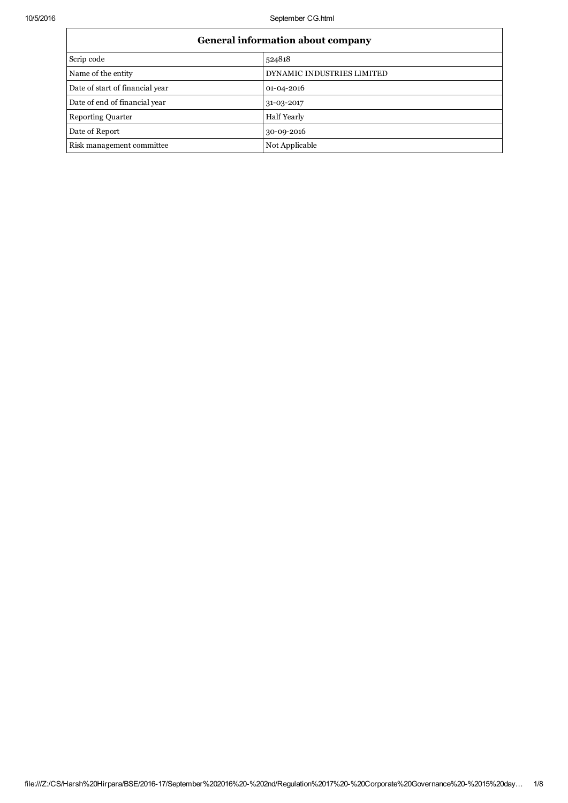| <b>General information about company</b> |                            |  |  |
|------------------------------------------|----------------------------|--|--|
| Scrip code                               | 524818                     |  |  |
| Name of the entity                       | DYNAMIC INDUSTRIES LIMITED |  |  |
| Date of start of financial year          | 01-04-2016                 |  |  |
| Date of end of financial year            | 31-03-2017                 |  |  |
| <b>Reporting Quarter</b>                 | <b>Half Yearly</b>         |  |  |
| Date of Report                           | 30-09-2016                 |  |  |
| Risk management committee                | Not Applicable             |  |  |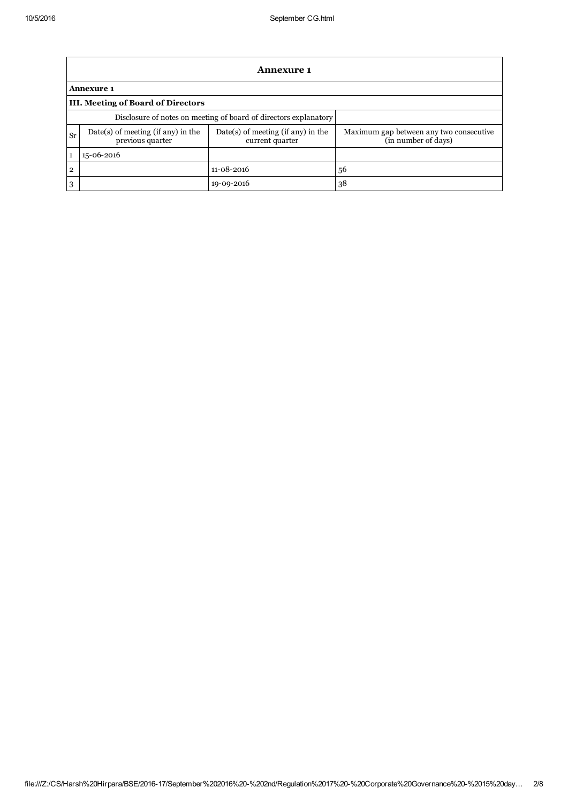|                | <b>Annexure 1</b>                                                |                                                         |                                                                |  |  |
|----------------|------------------------------------------------------------------|---------------------------------------------------------|----------------------------------------------------------------|--|--|
|                | <b>Annexure 1</b>                                                |                                                         |                                                                |  |  |
|                | <b>III. Meeting of Board of Directors</b>                        |                                                         |                                                                |  |  |
|                | Disclosure of notes on meeting of board of directors explanatory |                                                         |                                                                |  |  |
| Sr             | $Date(s)$ of meeting (if any) in the<br>previous quarter         | $Date(s)$ of meeting (if any) in the<br>current quarter | Maximum gap between any two consecutive<br>(in number of days) |  |  |
| $\mathbf{1}$   | 15-06-2016                                                       |                                                         |                                                                |  |  |
| $\overline{2}$ |                                                                  | $11 - 08 - 2016$                                        | 56                                                             |  |  |
| 3              |                                                                  | 19-09-2016                                              | 38                                                             |  |  |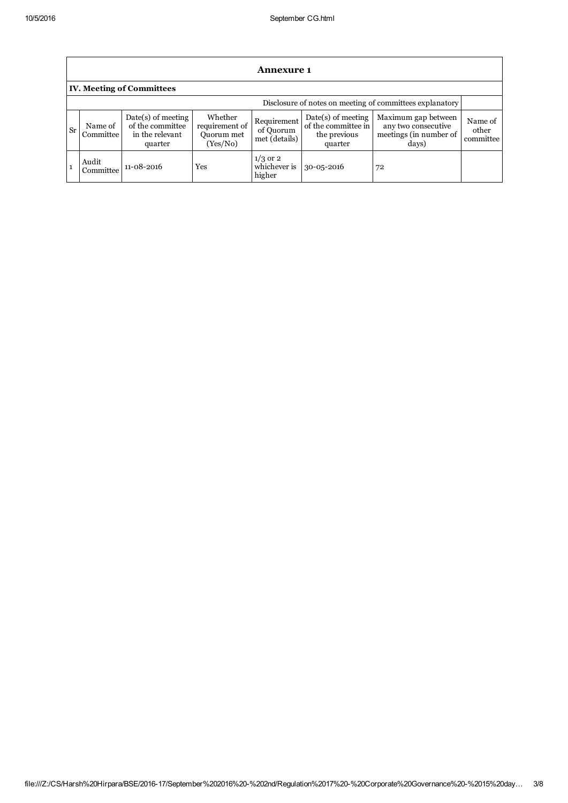|           | <b>Annexure 1</b>                                        |                                                                        |                                                            |                                           |                                                                        |                                                                               |                               |
|-----------|----------------------------------------------------------|------------------------------------------------------------------------|------------------------------------------------------------|-------------------------------------------|------------------------------------------------------------------------|-------------------------------------------------------------------------------|-------------------------------|
|           |                                                          | <b>IV. Meeting of Committees</b>                                       |                                                            |                                           |                                                                        |                                                                               |                               |
|           | Disclosure of notes on meeting of committees explanatory |                                                                        |                                                            |                                           |                                                                        |                                                                               |                               |
| <b>Sr</b> | Name of<br>Committee                                     | $Date(s)$ of meeting<br>of the committee<br>in the relevant<br>quarter | Whether<br>requirement of<br><b>Ouorum</b> met<br>(Yes/No) | Requirement<br>of Quorum<br>met (details) | $Date(s)$ of meeting<br>of the committee in<br>the previous<br>quarter | Maximum gap between<br>any two consecutive<br>meetings (in number of<br>days) | Name of<br>other<br>committee |
|           | Audit<br>Committee                                       | $11 - 08 - 2016$                                                       | Yes                                                        | $1/3$ or 2<br>whichever is<br>higher      | $30 - 05 - 2016$                                                       | 72                                                                            |                               |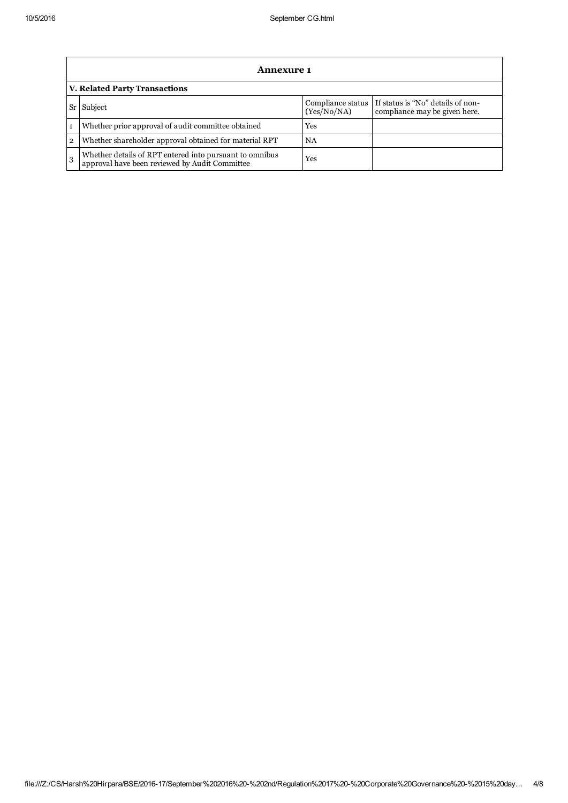|                | <b>Annexure 1</b>                                                                                         |                                  |                                                                    |  |
|----------------|-----------------------------------------------------------------------------------------------------------|----------------------------------|--------------------------------------------------------------------|--|
|                | <b>V. Related Party Transactions</b>                                                                      |                                  |                                                                    |  |
| Sr l           | Subject                                                                                                   | Compliance status<br>(Yes/No/NA) | If status is "No" details of non-<br>compliance may be given here. |  |
| $\mathbf{1}$   | Whether prior approval of audit committee obtained                                                        | Yes                              |                                                                    |  |
| $\overline{2}$ | Whether shareholder approval obtained for material RPT                                                    | NA                               |                                                                    |  |
| 3              | Whether details of RPT entered into pursuant to omnibus<br>approval have been reviewed by Audit Committee | Yes                              |                                                                    |  |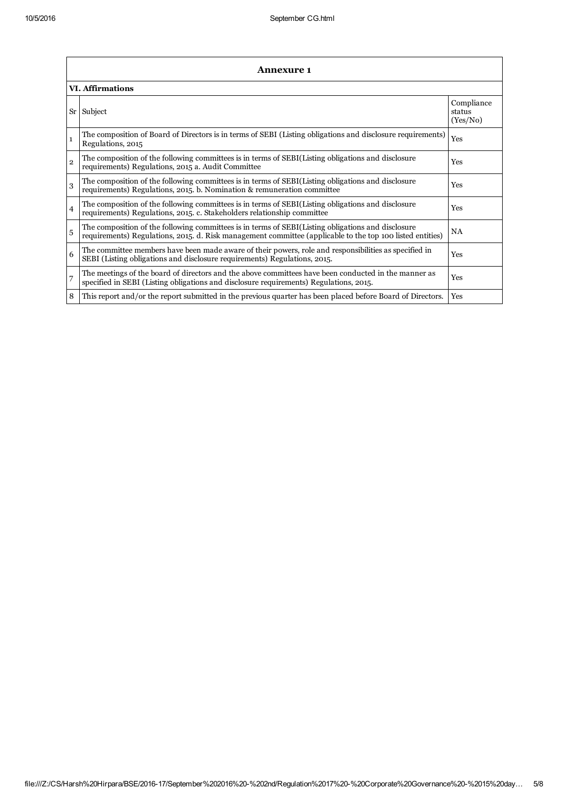|                | <b>Annexure 1</b>                                                                                                                                                                                               |                                  |  |  |
|----------------|-----------------------------------------------------------------------------------------------------------------------------------------------------------------------------------------------------------------|----------------------------------|--|--|
|                | <b>VI. Affirmations</b>                                                                                                                                                                                         |                                  |  |  |
| $S_{r}$        | Subject                                                                                                                                                                                                         | Compliance<br>status<br>(Yes/No) |  |  |
| $\mathbf{1}$   | The composition of Board of Directors is in terms of SEBI (Listing obligations and disclosure requirements)<br>Regulations, 2015                                                                                | Yes                              |  |  |
| $\overline{2}$ | The composition of the following committees is in terms of SEBI(Listing obligations and disclosure<br>requirements) Regulations, 2015 a. Audit Committee                                                        | Yes                              |  |  |
| 3              | The composition of the following committees is in terms of SEBI(Listing obligations and disclosure<br>requirements) Regulations, 2015. b. Nomination & remuneration committee                                   | Yes                              |  |  |
| $\overline{4}$ | The composition of the following committees is in terms of SEBI(Listing obligations and disclosure<br>requirements) Regulations, 2015. c. Stakeholders relationship committee                                   | <b>Yes</b>                       |  |  |
| 5              | The composition of the following committees is in terms of SEBI(Listing obligations and disclosure<br>requirements) Regulations, 2015. d. Risk management committee (applicable to the top 100 listed entities) | NA                               |  |  |
| 6              | The committee members have been made aware of their powers, role and responsibilities as specified in<br>SEBI (Listing obligations and disclosure requirements) Regulations, 2015.                              | Yes                              |  |  |
| 7              | The meetings of the board of directors and the above committees have been conducted in the manner as<br>specified in SEBI (Listing obligations and disclosure requirements) Regulations, 2015.                  | Yes                              |  |  |
| 8              | This report and/or the report submitted in the previous quarter has been placed before Board of Directors.                                                                                                      | Yes                              |  |  |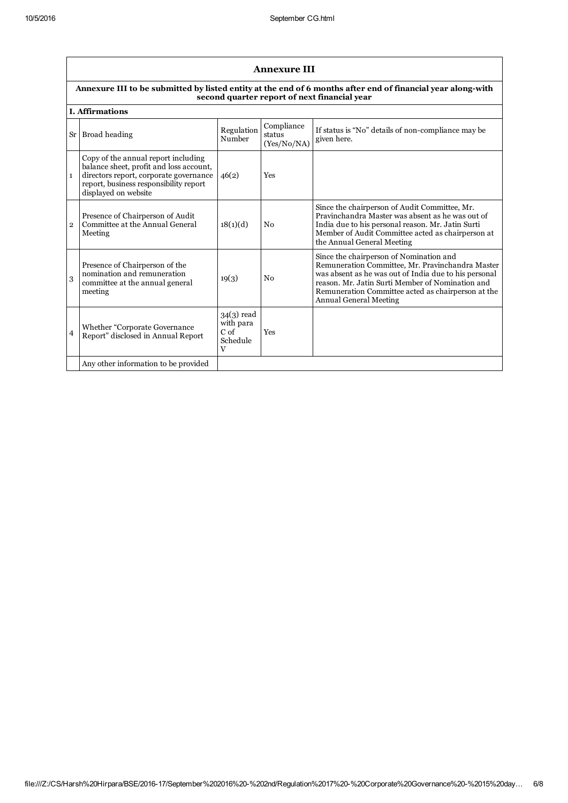|                | <b>Annexure III</b>                                                                                                                                                                        |                                                               |                                     |                                                                                                                                                                                                                                                                                                 |  |  |
|----------------|--------------------------------------------------------------------------------------------------------------------------------------------------------------------------------------------|---------------------------------------------------------------|-------------------------------------|-------------------------------------------------------------------------------------------------------------------------------------------------------------------------------------------------------------------------------------------------------------------------------------------------|--|--|
|                | Annexure III to be submitted by listed entity at the end of 6 months after end of financial year along-with<br>second quarter report of next financial year                                |                                                               |                                     |                                                                                                                                                                                                                                                                                                 |  |  |
|                | <b>I.</b> Affirmations                                                                                                                                                                     |                                                               |                                     |                                                                                                                                                                                                                                                                                                 |  |  |
|                | Sr Broad heading                                                                                                                                                                           | Regulation<br>Number                                          | Compliance<br>status<br>(Yes/No/NA) | If status is "No" details of non-compliance may be<br>given here.                                                                                                                                                                                                                               |  |  |
| $\mathbf{1}$   | Copy of the annual report including<br>balance sheet, profit and loss account,<br>directors report, corporate governance<br>report, business responsibility report<br>displayed on website | 46(2)                                                         | <b>Yes</b>                          |                                                                                                                                                                                                                                                                                                 |  |  |
| $\mathfrak{p}$ | Presence of Chairperson of Audit<br>Committee at the Annual General<br>Meeting                                                                                                             | 18(1)(d)                                                      | No                                  | Since the chairperson of Audit Committee, Mr.<br>Pravinchandra Master was absent as he was out of<br>India due to his personal reason. Mr. Jatin Surti<br>Member of Audit Committee acted as chairperson at<br>the Annual General Meeting                                                       |  |  |
| 3              | Presence of Chairperson of the<br>nomination and remuneration<br>committee at the annual general<br>meeting                                                                                | 19(3)                                                         | No                                  | Since the chairperson of Nomination and<br>Remuneration Committee, Mr. Pravinchandra Master<br>was absent as he was out of India due to his personal<br>reason. Mr. Jatin Surti Member of Nomination and<br>Remuneration Committee acted as chairperson at the<br><b>Annual General Meeting</b> |  |  |
| $\overline{4}$ | Whether "Corporate Governance<br>Report" disclosed in Annual Report                                                                                                                        | $34(3)$ read<br>with para<br>C <sub>of</sub><br>Schedule<br>V | Yes                                 |                                                                                                                                                                                                                                                                                                 |  |  |
|                | Any other information to be provided                                                                                                                                                       |                                                               |                                     |                                                                                                                                                                                                                                                                                                 |  |  |